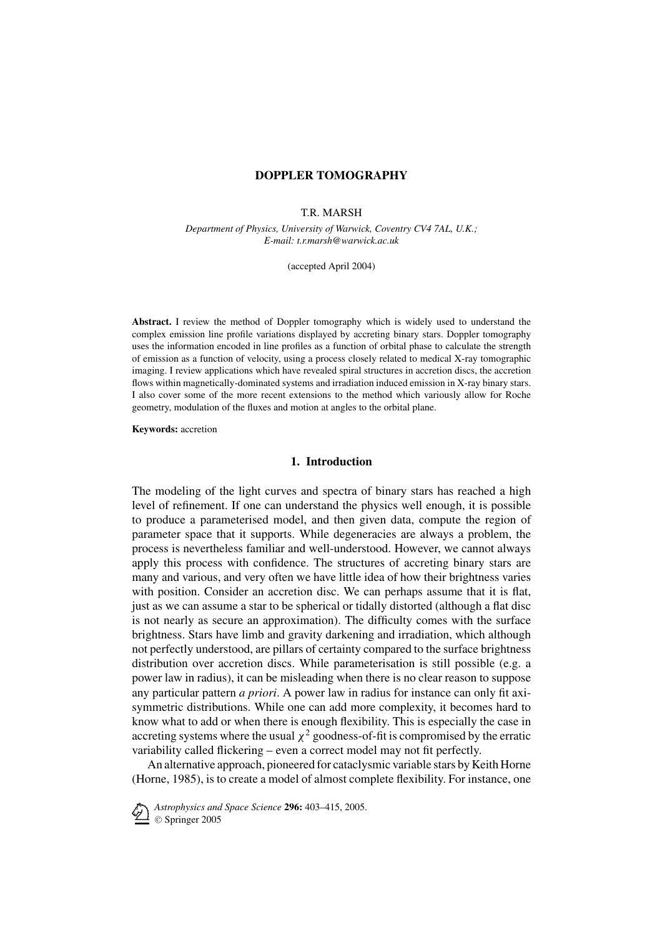### T.R. MARSH

*Department of Physics, University of Warwick, Coventry CV4 7AL, U.K.; E-mail: t.r.marsh@warwick.ac.uk*

(accepted April 2004)

**Abstract.** I review the method of Doppler tomography which is widely used to understand the complex emission line profile variations displayed by accreting binary stars. Doppler tomography uses the information encoded in line profiles as a function of orbital phase to calculate the strength of emission as a function of velocity, using a process closely related to medical X-ray tomographic imaging. I review applications which have revealed spiral structures in accretion discs, the accretion flows within magnetically-dominated systems and irradiation induced emission in X-ray binary stars. I also cover some of the more recent extensions to the method which variously allow for Roche geometry, modulation of the fluxes and motion at angles to the orbital plane.

**Keywords:** accretion

### **1. Introduction**

The modeling of the light curves and spectra of binary stars has reached a high level of refinement. If one can understand the physics well enough, it is possible to produce a parameterised model, and then given data, compute the region of parameter space that it supports. While degeneracies are always a problem, the process is nevertheless familiar and well-understood. However, we cannot always apply this process with confidence. The structures of accreting binary stars are many and various, and very often we have little idea of how their brightness varies with position. Consider an accretion disc. We can perhaps assume that it is flat, just as we can assume a star to be spherical or tidally distorted (although a flat disc is not nearly as secure an approximation). The difficulty comes with the surface brightness. Stars have limb and gravity darkening and irradiation, which although not perfectly understood, are pillars of certainty compared to the surface brightness distribution over accretion discs. While parameterisation is still possible (e.g. a power law in radius), it can be misleading when there is no clear reason to suppose any particular pattern *a priori*. A power law in radius for instance can only fit axisymmetric distributions. While one can add more complexity, it becomes hard to know what to add or when there is enough flexibility. This is especially the case in accreting systems where the usual  $\chi^2$  goodness-of-fit is compromised by the erratic variability called flickering – even a correct model may not fit perfectly.

An alternative approach, pioneered for cataclysmic variable stars by Keith Horne (Horne, 1985), is to create a model of almost complete flexibility. For instance, one

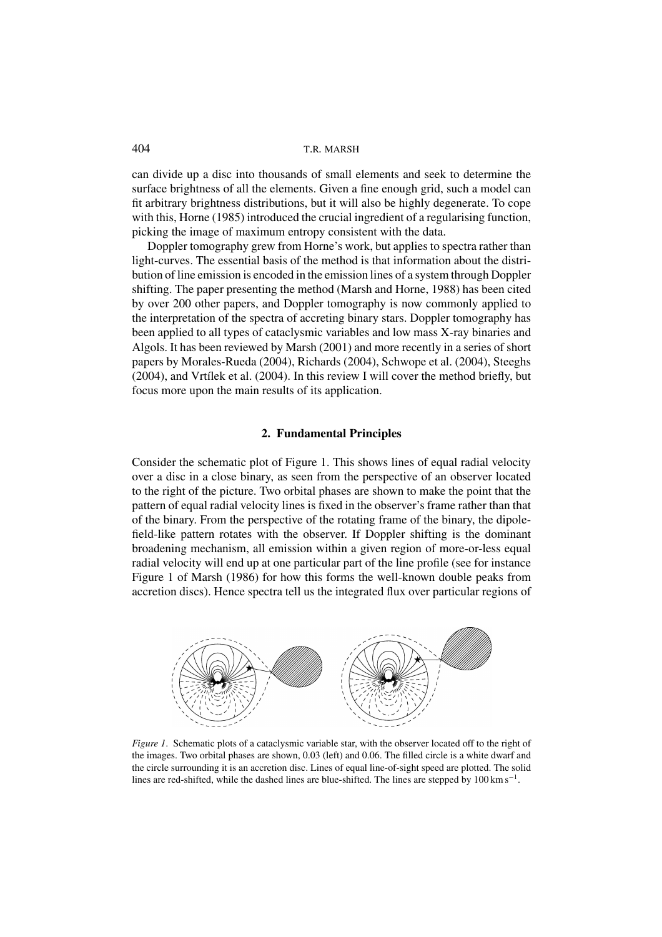can divide up a disc into thousands of small elements and seek to determine the surface brightness of all the elements. Given a fine enough grid, such a model can fit arbitrary brightness distributions, but it will also be highly degenerate. To cope with this, Horne (1985) introduced the crucial ingredient of a regularising function, picking the image of maximum entropy consistent with the data.

Doppler tomography grew from Horne's work, but applies to spectra rather than light-curves. The essential basis of the method is that information about the distribution of line emission is encoded in the emission lines of a system through Doppler shifting. The paper presenting the method (Marsh and Horne, 1988) has been cited by over 200 other papers, and Doppler tomography is now commonly applied to the interpretation of the spectra of accreting binary stars. Doppler tomography has been applied to all types of cataclysmic variables and low mass X-ray binaries and Algols. It has been reviewed by Marsh (2001) and more recently in a series of short papers by Morales-Rueda (2004), Richards (2004), Schwope et al. (2004), Steeghs  $(2004)$ , and Vrtílek et al.  $(2004)$ . In this review I will cover the method briefly, but focus more upon the main results of its application.

#### **2. Fundamental Principles**

Consider the schematic plot of Figure 1. This shows lines of equal radial velocity over a disc in a close binary, as seen from the perspective of an observer located to the right of the picture. Two orbital phases are shown to make the point that the pattern of equal radial velocity lines is fixed in the observer's frame rather than that of the binary. From the perspective of the rotating frame of the binary, the dipolefield-like pattern rotates with the observer. If Doppler shifting is the dominant broadening mechanism, all emission within a given region of more-or-less equal radial velocity will end up at one particular part of the line profile (see for instance Figure 1 of Marsh (1986) for how this forms the well-known double peaks from accretion discs). Hence spectra tell us the integrated flux over particular regions of



*Figure 1.* Schematic plots of a cataclysmic variable star, with the observer located off to the right of the images. Two orbital phases are shown, 0.03 (left) and 0.06. The filled circle is a white dwarf and the circle surrounding it is an accretion disc. Lines of equal line-of-sight speed are plotted. The solid lines are red-shifted, while the dashed lines are blue-shifted. The lines are stepped by 100 km s<sup>−</sup>1.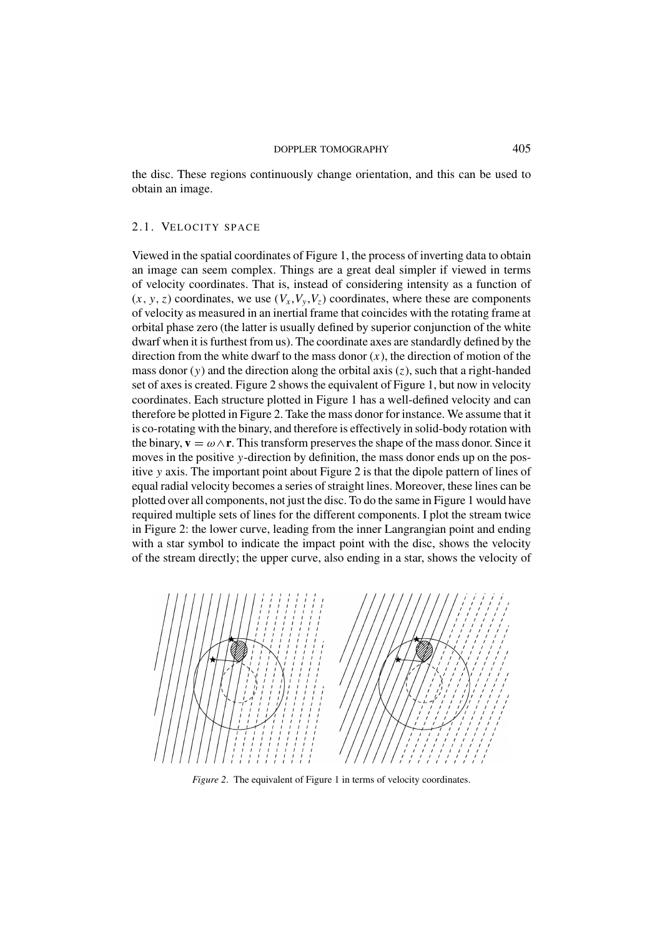the disc. These regions continuously change orientation, and this can be used to obtain an image.

# 2.1. VELOCITY SPACE

Viewed in the spatial coordinates of Figure 1, the process of inverting data to obtain an image can seem complex. Things are a great deal simpler if viewed in terms of velocity coordinates. That is, instead of considering intensity as a function of  $(x, y, z)$  coordinates, we use  $(V_x, V_y, V_z)$  coordinates, where these are components of velocity as measured in an inertial frame that coincides with the rotating frame at orbital phase zero (the latter is usually defined by superior conjunction of the white dwarf when it is furthest from us). The coordinate axes are standardly defined by the direction from the white dwarf to the mass donor  $(x)$ , the direction of motion of the mass donor (*y*) and the direction along the orbital axis (*z*), such that a right-handed set of axes is created. Figure 2 shows the equivalent of Figure 1, but now in velocity coordinates. Each structure plotted in Figure 1 has a well-defined velocity and can therefore be plotted in Figure 2. Take the mass donor for instance. We assume that it is co-rotating with the binary, and therefore is effectively in solid-body rotation with the binary,  $\mathbf{v} = \omega \wedge \mathbf{r}$ . This transform preserves the shape of the mass donor. Since it moves in the positive *y*-direction by definition, the mass donor ends up on the positive *y* axis. The important point about Figure 2 is that the dipole pattern of lines of equal radial velocity becomes a series of straight lines. Moreover, these lines can be plotted over all components, not just the disc. To do the same in Figure 1 would have required multiple sets of lines for the different components. I plot the stream twice in Figure 2: the lower curve, leading from the inner Langrangian point and ending with a star symbol to indicate the impact point with the disc, shows the velocity of the stream directly; the upper curve, also ending in a star, shows the velocity of



*Figure 2*. The equivalent of Figure 1 in terms of velocity coordinates.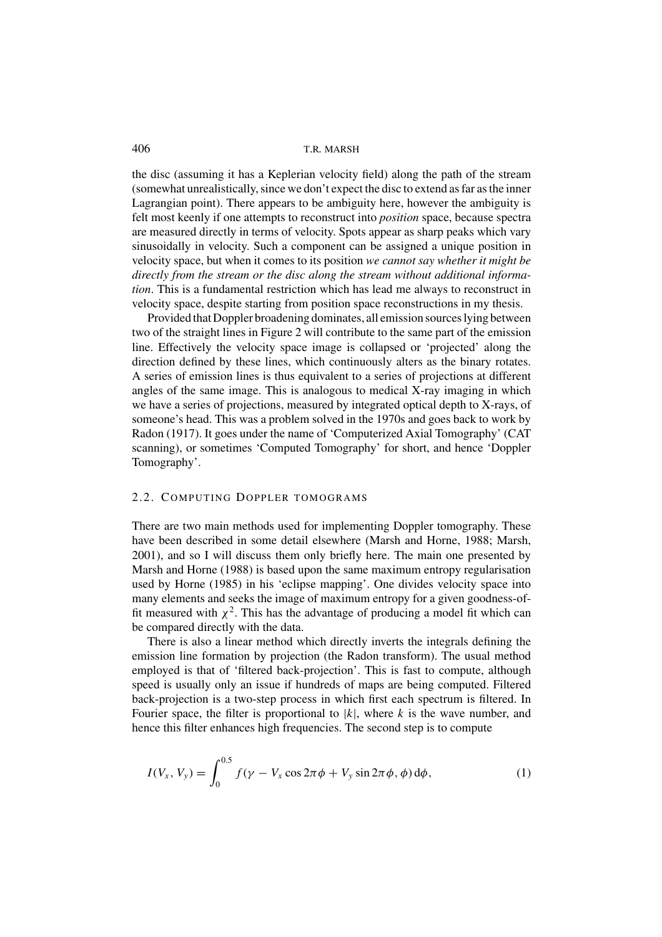the disc (assuming it has a Keplerian velocity field) along the path of the stream (somewhat unrealistically, since we don't expect the disc to extend as far as the inner Lagrangian point). There appears to be ambiguity here, however the ambiguity is felt most keenly if one attempts to reconstruct into *position* space, because spectra are measured directly in terms of velocity. Spots appear as sharp peaks which vary sinusoidally in velocity. Such a component can be assigned a unique position in velocity space, but when it comes to its position *we cannot say whether it might be directly from the stream or the disc along the stream without additional information*. This is a fundamental restriction which has lead me always to reconstruct in velocity space, despite starting from position space reconstructions in my thesis.

Provided that Doppler broadening dominates, all emission sources lying between two of the straight lines in Figure 2 will contribute to the same part of the emission line. Effectively the velocity space image is collapsed or 'projected' along the direction defined by these lines, which continuously alters as the binary rotates. A series of emission lines is thus equivalent to a series of projections at different angles of the same image. This is analogous to medical X-ray imaging in which we have a series of projections, measured by integrated optical depth to X-rays, of someone's head. This was a problem solved in the 1970s and goes back to work by Radon (1917). It goes under the name of 'Computerized Axial Tomography' (CAT scanning), or sometimes 'Computed Tomography' for short, and hence 'Doppler Tomography'.

# 2.2. COMPUTING DOPPLER TOMOGRAMS

There are two main methods used for implementing Doppler tomography. These have been described in some detail elsewhere (Marsh and Horne, 1988; Marsh, 2001), and so I will discuss them only briefly here. The main one presented by Marsh and Horne (1988) is based upon the same maximum entropy regularisation used by Horne (1985) in his 'eclipse mapping'. One divides velocity space into many elements and seeks the image of maximum entropy for a given goodness-offit measured with  $\chi^2$ . This has the advantage of producing a model fit which can be compared directly with the data.

There is also a linear method which directly inverts the integrals defining the emission line formation by projection (the Radon transform). The usual method employed is that of 'filtered back-projection'. This is fast to compute, although speed is usually only an issue if hundreds of maps are being computed. Filtered back-projection is a two-step process in which first each spectrum is filtered. In Fourier space, the filter is proportional to |*k*|, where *k* is the wave number, and hence this filter enhances high frequencies. The second step is to compute

$$
I(V_x, V_y) = \int_0^{0.5} f(\gamma - V_x \cos 2\pi \phi + V_y \sin 2\pi \phi, \phi) d\phi,
$$
 (1)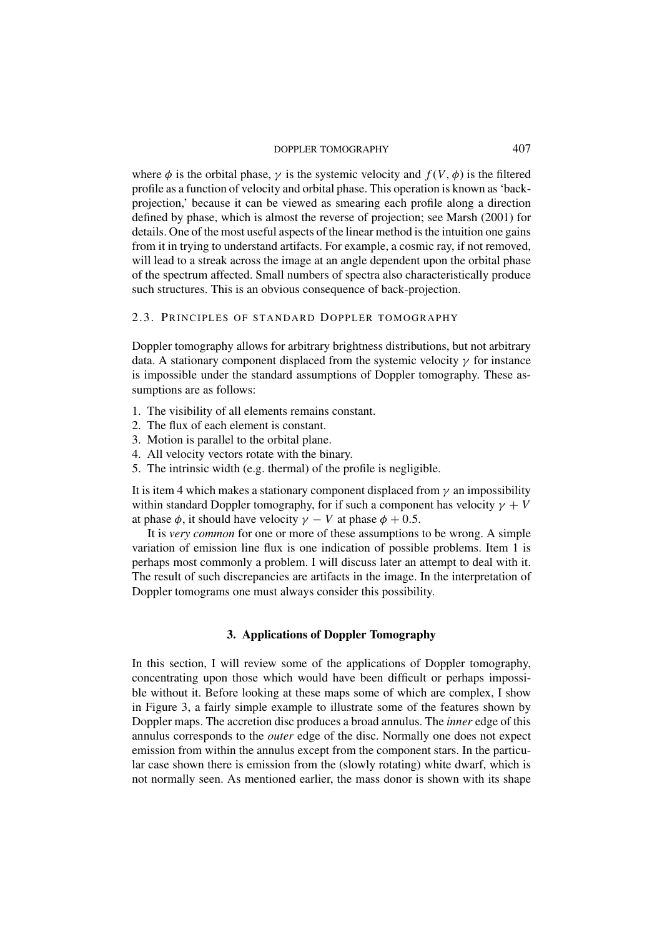where  $\phi$  is the orbital phase,  $\gamma$  is the systemic velocity and  $f(V, \phi)$  is the filtered profile as a function of velocity and orbital phase. This operation is known as 'backprojection,' because it can be viewed as smearing each profile along a direction defined by phase, which is almost the reverse of projection; see Marsh (2001) for details. One of the most useful aspects of the linear method is the intuition one gains from it in trying to understand artifacts. For example, a cosmic ray, if not removed, will lead to a streak across the image at an angle dependent upon the orbital phase of the spectrum affected. Small numbers of spectra also characteristically produce such structures. This is an obvious consequence of back-projection.

### 2.3. PRINCIPLES OF STANDARD DOPPLER TOMOGRAPHY

Doppler tomography allows for arbitrary brightness distributions, but not arbitrary data. A stationary component displaced from the systemic velocity  $\gamma$  for instance is impossible under the standard assumptions of Doppler tomography. These assumptions are as follows:

- 1. The visibility of all elements remains constant.
- 2. The flux of each element is constant.
- 3. Motion is parallel to the orbital plane.
- 4. All velocity vectors rotate with the binary.
- 5. The intrinsic width (e.g. thermal) of the profile is negligible.

It is item 4 which makes a stationary component displaced from  $\gamma$  an impossibility within standard Doppler tomography, for if such a component has velocity  $\gamma + V$ at phase  $\phi$ , it should have velocity  $\gamma - V$  at phase  $\phi + 0.5$ .

It is *very common* for one or more of these assumptions to be wrong. A simple variation of emission line flux is one indication of possible problems. Item 1 is perhaps most commonly a problem. I will discuss later an attempt to deal with it. The result of such discrepancies are artifacts in the image. In the interpretation of Doppler tomograms one must always consider this possibility.

### **3. Applications of Doppler Tomography**

In this section, I will review some of the applications of Doppler tomography, concentrating upon those which would have been difficult or perhaps impossible without it. Before looking at these maps some of which are complex, I show in Figure 3, a fairly simple example to illustrate some of the features shown by Doppler maps. The accretion disc produces a broad annulus. The *inner* edge of this annulus corresponds to the *outer* edge of the disc. Normally one does not expect emission from within the annulus except from the component stars. In the particular case shown there is emission from the (slowly rotating) white dwarf, which is not normally seen. As mentioned earlier, the mass donor is shown with its shape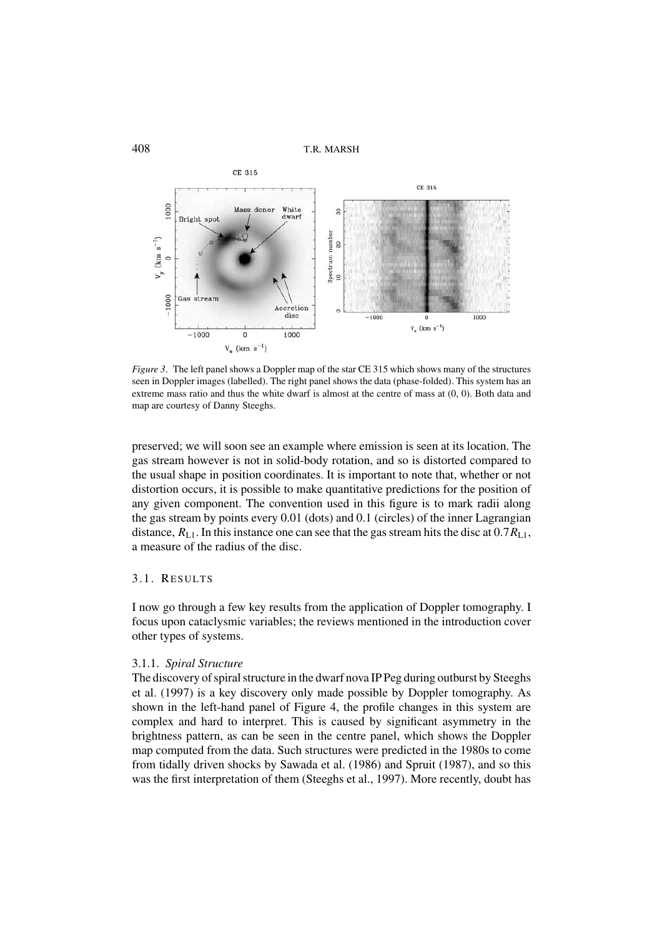

*Figure 3.* The left panel shows a Doppler map of the star CE 315 which shows many of the structures seen in Doppler images (labelled). The right panel shows the data (phase-folded). This system has an extreme mass ratio and thus the white dwarf is almost at the centre of mass at (0, 0). Both data and map are courtesy of Danny Steeghs.

preserved; we will soon see an example where emission is seen at its location. The gas stream however is not in solid-body rotation, and so is distorted compared to the usual shape in position coordinates. It is important to note that, whether or not distortion occurs, it is possible to make quantitative predictions for the position of any given component. The convention used in this figure is to mark radii along the gas stream by points every 0.01 (dots) and 0.1 (circles) of the inner Lagrangian distance,  $R_{L1}$ . In this instance one can see that the gas stream hits the disc at  $0.7R_{L1}$ , a measure of the radius of the disc.

# 3.1. RESULTS

I now go through a few key results from the application of Doppler tomography. I focus upon cataclysmic variables; the reviews mentioned in the introduction cover other types of systems.

## 3.1.1. *Spiral Structure*

The discovery of spiral structure in the dwarf nova IP Peg during outburst by Steeghs et al. (1997) is a key discovery only made possible by Doppler tomography. As shown in the left-hand panel of Figure 4, the profile changes in this system are complex and hard to interpret. This is caused by significant asymmetry in the brightness pattern, as can be seen in the centre panel, which shows the Doppler map computed from the data. Such structures were predicted in the 1980s to come from tidally driven shocks by Sawada et al. (1986) and Spruit (1987), and so this was the first interpretation of them (Steeghs et al., 1997). More recently, doubt has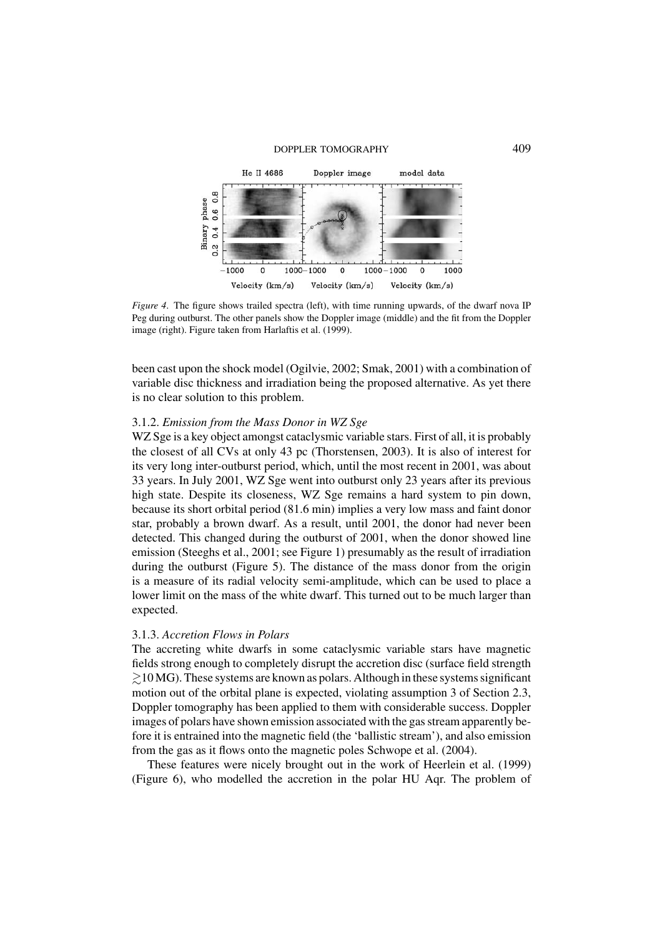

*Figure 4.* The figure shows trailed spectra (left), with time running upwards, of the dwarf nova IP Peg during outburst. The other panels show the Doppler image (middle) and the fit from the Doppler image (right). Figure taken from Harlaftis et al. (1999).

been cast upon the shock model (Ogilvie, 2002; Smak, 2001) with a combination of variable disc thickness and irradiation being the proposed alternative. As yet there is no clear solution to this problem.

### 3.1.2. *Emission from the Mass Donor in WZ Sge*

WZ Sge is a key object amongst cataclysmic variable stars. First of all, it is probably the closest of all CVs at only 43 pc (Thorstensen, 2003). It is also of interest for its very long inter-outburst period, which, until the most recent in 2001, was about 33 years. In July 2001, WZ Sge went into outburst only 23 years after its previous high state. Despite its closeness, WZ Sge remains a hard system to pin down, because its short orbital period (81.6 min) implies a very low mass and faint donor star, probably a brown dwarf. As a result, until 2001, the donor had never been detected. This changed during the outburst of 2001, when the donor showed line emission (Steeghs et al., 2001; see Figure 1) presumably as the result of irradiation during the outburst (Figure 5). The distance of the mass donor from the origin is a measure of its radial velocity semi-amplitude, which can be used to place a lower limit on the mass of the white dwarf. This turned out to be much larger than expected.

### 3.1.3. *Accretion Flows in Polars*

The accreting white dwarfs in some cataclysmic variable stars have magnetic fields strong enough to completely disrupt the accretion disc (surface field strength  $\geq 10$  MG). These systems are known as polars. Although in these systems significant motion out of the orbital plane is expected, violating assumption 3 of Section 2.3, Doppler tomography has been applied to them with considerable success. Doppler images of polars have shown emission associated with the gas stream apparently before it is entrained into the magnetic field (the 'ballistic stream'), and also emission from the gas as it flows onto the magnetic poles Schwope et al. (2004).

These features were nicely brought out in the work of Heerlein et al. (1999) (Figure 6), who modelled the accretion in the polar HU Aqr. The problem of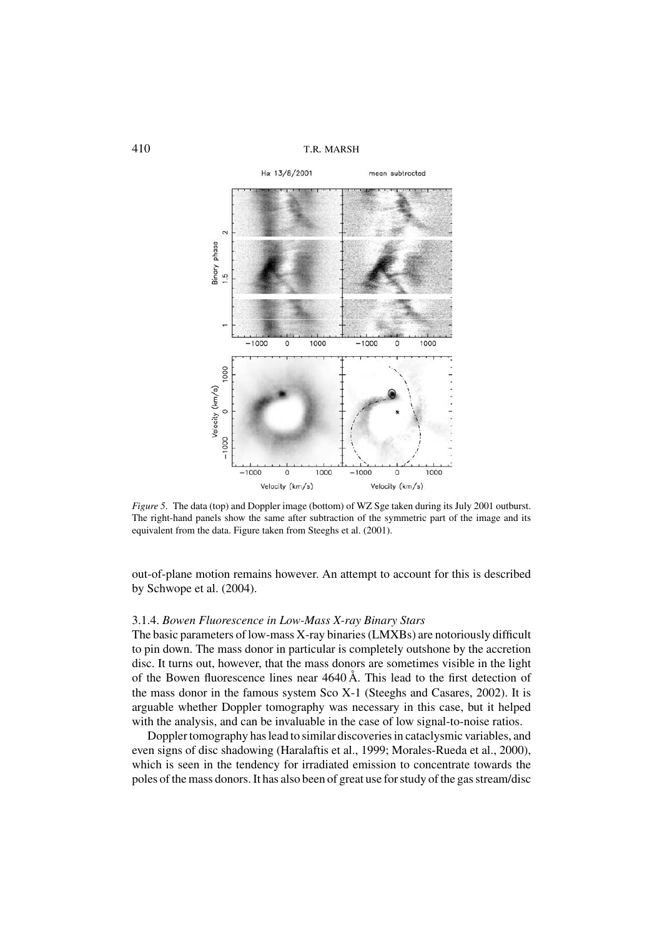

*Figure 5*. The data (top) and Doppler image (bottom) of WZ Sge taken during its July 2001 outburst. The right-hand panels show the same after subtraction of the symmetric part of the image and its equivalent from the data. Figure taken from Steeghs et al. (2001).

out-of-plane motion remains however. An attempt to account for this is described by Schwope et al. (2004).

### 3.1.4. *Bowen Fluorescence in Low-Mass X-ray Binary Stars*

The basic parameters of low-mass X-ray binaries (LMXBs) are notoriously difficult to pin down. The mass donor in particular is completely outshone by the accretion disc. It turns out, however, that the mass donors are sometimes visible in the light of the Bowen fluorescence lines near  $4640 \text{ Å}$ . This lead to the first detection of the mass donor in the famous system Sco X-1 (Steeghs and Casares, 2002). It is arguable whether Doppler tomography was necessary in this case, but it helped with the analysis, and can be invaluable in the case of low signal-to-noise ratios.

Doppler tomography has lead to similar discoveries in cataclysmic variables, and even signs of disc shadowing (Haralaftis et al., 1999; Morales-Rueda et al., 2000), which is seen in the tendency for irradiated emission to concentrate towards the poles of the mass donors. It has also been of great use for study of the gas stream/disc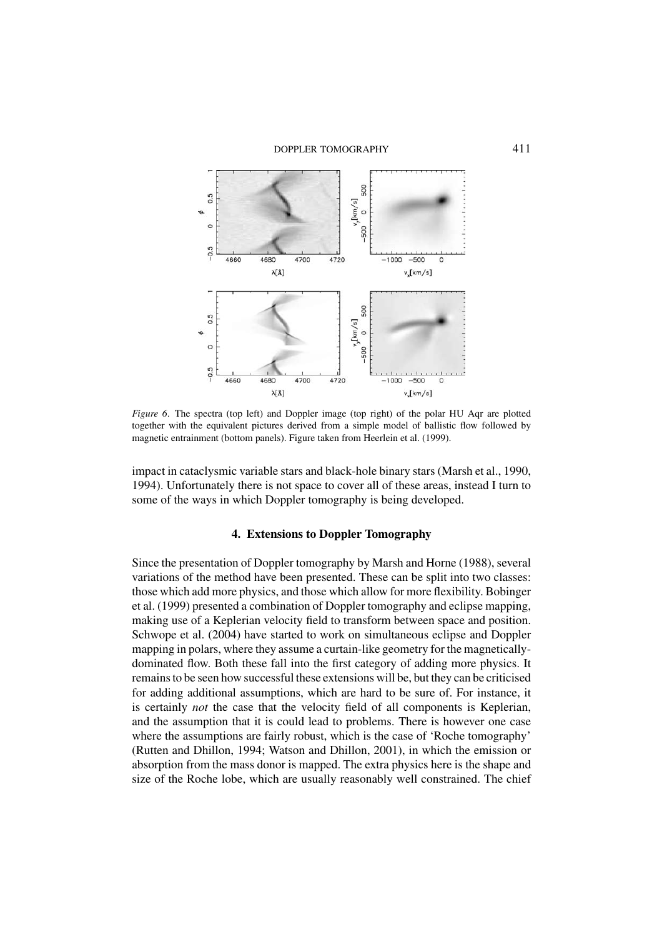

*Figure 6*. The spectra (top left) and Doppler image (top right) of the polar HU Aqr are plotted together with the equivalent pictures derived from a simple model of ballistic flow followed by magnetic entrainment (bottom panels). Figure taken from Heerlein et al. (1999).

impact in cataclysmic variable stars and black-hole binary stars (Marsh et al., 1990, 1994). Unfortunately there is not space to cover all of these areas, instead I turn to some of the ways in which Doppler tomography is being developed.

#### **4. Extensions to Doppler Tomography**

Since the presentation of Doppler tomography by Marsh and Horne (1988), several variations of the method have been presented. These can be split into two classes: those which add more physics, and those which allow for more flexibility. Bobinger et al. (1999) presented a combination of Doppler tomography and eclipse mapping, making use of a Keplerian velocity field to transform between space and position. Schwope et al. (2004) have started to work on simultaneous eclipse and Doppler mapping in polars, where they assume a curtain-like geometry for the magneticallydominated flow. Both these fall into the first category of adding more physics. It remains to be seen how successful these extensions will be, but they can be criticised for adding additional assumptions, which are hard to be sure of. For instance, it is certainly *not* the case that the velocity field of all components is Keplerian, and the assumption that it is could lead to problems. There is however one case where the assumptions are fairly robust, which is the case of 'Roche tomography' (Rutten and Dhillon, 1994; Watson and Dhillon, 2001), in which the emission or absorption from the mass donor is mapped. The extra physics here is the shape and size of the Roche lobe, which are usually reasonably well constrained. The chief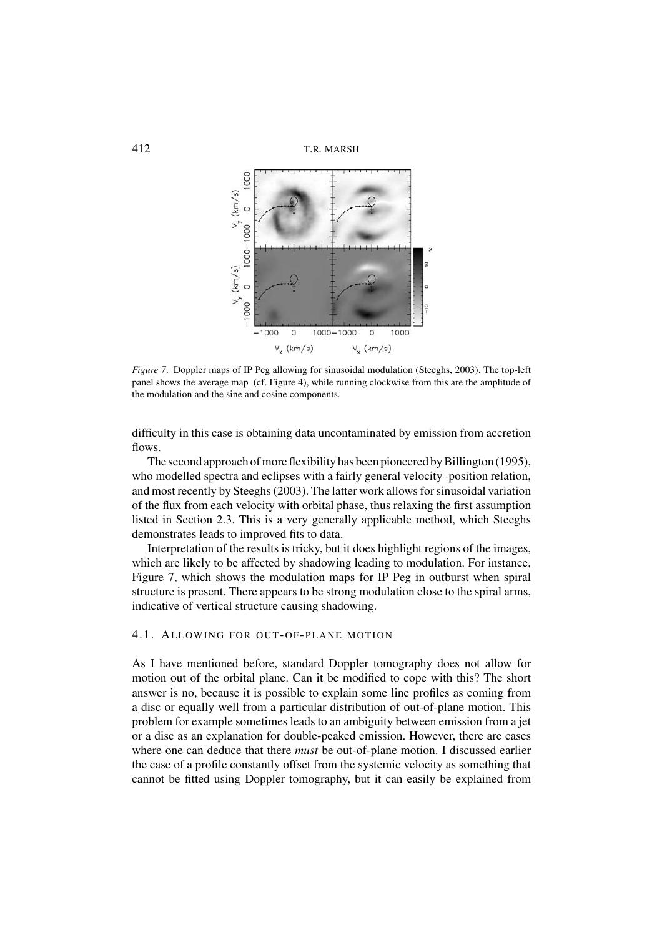

*Figure 7*. Doppler maps of IP Peg allowing for sinusoidal modulation (Steeghs, 2003). The top-left panel shows the average map (cf. Figure 4), while running clockwise from this are the amplitude of the modulation and the sine and cosine components.

difficulty in this case is obtaining data uncontaminated by emission from accretion flows.

The second approach of more flexibility has been pioneered by Billington (1995), who modelled spectra and eclipses with a fairly general velocity–position relation, and most recently by Steeghs (2003). The latter work allows for sinusoidal variation of the flux from each velocity with orbital phase, thus relaxing the first assumption listed in Section 2.3. This is a very generally applicable method, which Steeghs demonstrates leads to improved fits to data.

Interpretation of the results is tricky, but it does highlight regions of the images, which are likely to be affected by shadowing leading to modulation. For instance, Figure 7, which shows the modulation maps for IP Peg in outburst when spiral structure is present. There appears to be strong modulation close to the spiral arms, indicative of vertical structure causing shadowing.

### 4.1. ALLOWING FOR OUT-OF-PLANE MOTION

As I have mentioned before, standard Doppler tomography does not allow for motion out of the orbital plane. Can it be modified to cope with this? The short answer is no, because it is possible to explain some line profiles as coming from a disc or equally well from a particular distribution of out-of-plane motion. This problem for example sometimes leads to an ambiguity between emission from a jet or a disc as an explanation for double-peaked emission. However, there are cases where one can deduce that there *must* be out-of-plane motion. I discussed earlier the case of a profile constantly offset from the systemic velocity as something that cannot be fitted using Doppler tomography, but it can easily be explained from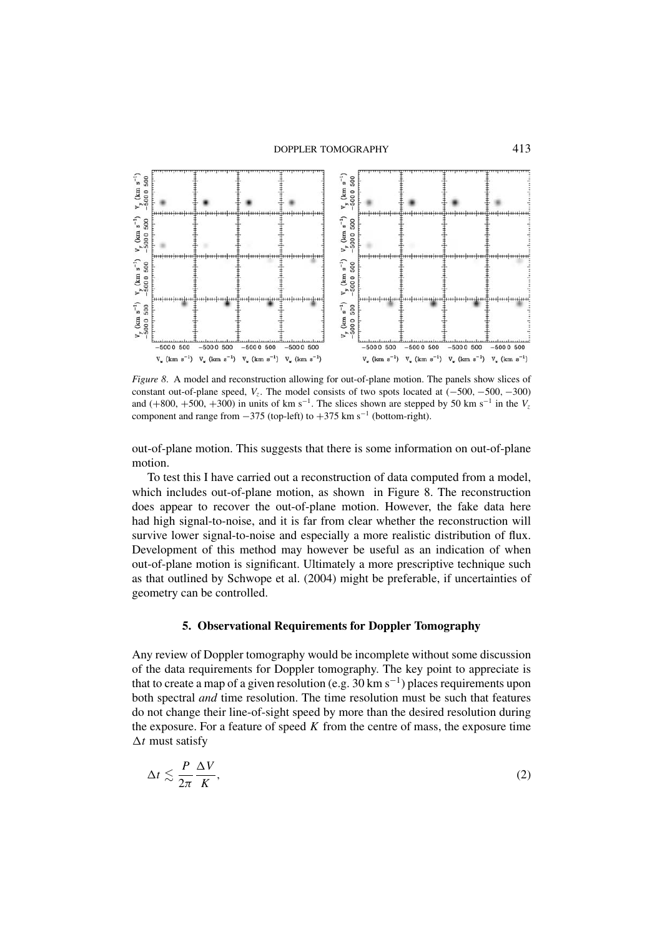

*Figure 8*. A model and reconstruction allowing for out-of-plane motion. The panels show slices of constant out-of-plane speed,  $V_z$ . The model consists of two spots located at  $(-500, -500, -300)$ and (+800, +500, +300) in units of km s<sup>-1</sup>. The slices shown are stepped by 50 km s<sup>-1</sup> in the  $V_z$ component and range from  $-375$  (top-left) to  $+375$  km s<sup>-1</sup> (bottom-right).

out-of-plane motion. This suggests that there is some information on out-of-plane motion.

To test this I have carried out a reconstruction of data computed from a model, which includes out-of-plane motion, as shown in Figure 8. The reconstruction does appear to recover the out-of-plane motion. However, the fake data here had high signal-to-noise, and it is far from clear whether the reconstruction will survive lower signal-to-noise and especially a more realistic distribution of flux. Development of this method may however be useful as an indication of when out-of-plane motion is significant. Ultimately a more prescriptive technique such as that outlined by Schwope et al. (2004) might be preferable, if uncertainties of geometry can be controlled.

# **5. Observational Requirements for Doppler Tomography**

Any review of Doppler tomography would be incomplete without some discussion of the data requirements for Doppler tomography. The key point to appreciate is that to create a map of a given resolution (e.g. 30 km s<sup>-1</sup>) places requirements upon both spectral *and* time resolution. The time resolution must be such that features do not change their line-of-sight speed by more than the desired resolution during the exposure. For a feature of speed *K* from the centre of mass, the exposure time  $\Delta t$  must satisfy

$$
\Delta t \lesssim \frac{P}{2\pi} \frac{\Delta V}{K},\tag{2}
$$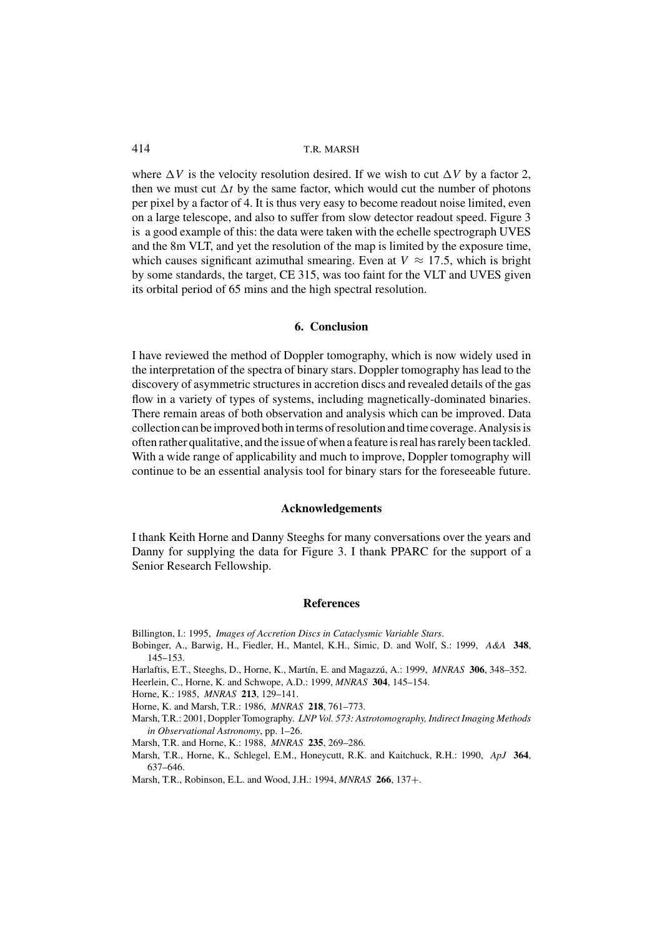where  $\Delta V$  is the velocity resolution desired. If we wish to cut  $\Delta V$  by a factor 2, then we must cut  $\Delta t$  by the same factor, which would cut the number of photons per pixel by a factor of 4. It is thus very easy to become readout noise limited, even on a large telescope, and also to suffer from slow detector readout speed. Figure 3 is a good example of this: the data were taken with the echelle spectrograph UVES and the 8m VLT, and yet the resolution of the map is limited by the exposure time, which causes significant azimuthal smearing. Even at  $V \approx 17.5$ , which is bright by some standards, the target, CE 315, was too faint for the VLT and UVES given its orbital period of 65 mins and the high spectral resolution.

#### **6. Conclusion**

I have reviewed the method of Doppler tomography, which is now widely used in the interpretation of the spectra of binary stars. Doppler tomography has lead to the discovery of asymmetric structures in accretion discs and revealed details of the gas flow in a variety of types of systems, including magnetically-dominated binaries. There remain areas of both observation and analysis which can be improved. Data collection can be improved both in terms of resolution and time coverage. Analysis is often rather qualitative, and the issue of when a feature is real has rarely been tackled. With a wide range of applicability and much to improve, Doppler tomography will continue to be an essential analysis tool for binary stars for the foreseeable future.

#### **Acknowledgements**

I thank Keith Horne and Danny Steeghs for many conversations over the years and Danny for supplying the data for Figure 3. I thank PPARC for the support of a Senior Research Fellowship.

### **References**

Billington, I.: 1995, *Images of Accretion Discs in Cataclysmic Variable Stars*.

- Bobinger, A., Barwig, H., Fiedler, H., Mantel, K.H., Simic, D. and Wolf, S.: 1999, *A&A* **348**, 145–153.
- Harlaftis, E.T., Steeghs, D., Horne, K., Mart´ın, E. and Magazz´u, A.: 1999, *MNRAS* **306**, 348–352.
- Heerlein, C., Horne, K. and Schwope, A.D.: 1999, *MNRAS* **304**, 145–154.
- Horne, K.: 1985, *MNRAS* **213**, 129–141.
- Horne, K. and Marsh, T.R.: 1986, *MNRAS* **218**, 761–773.
- Marsh, T.R.: 2001, Doppler Tomography. *LNP Vol. 573: Astrotomography, Indirect Imaging Methods in Observational Astronomy*, pp. 1–26.
- Marsh, T.R. and Horne, K.: 1988, *MNRAS* **235**, 269–286.
- Marsh, T.R., Horne, K., Schlegel, E.M., Honeycutt, R.K. and Kaitchuck, R.H.: 1990, *ApJ* **364**, 637–646.
- Marsh, T.R., Robinson, E.L. and Wood, J.H.: 1994, *MNRAS* **266**, 137+.